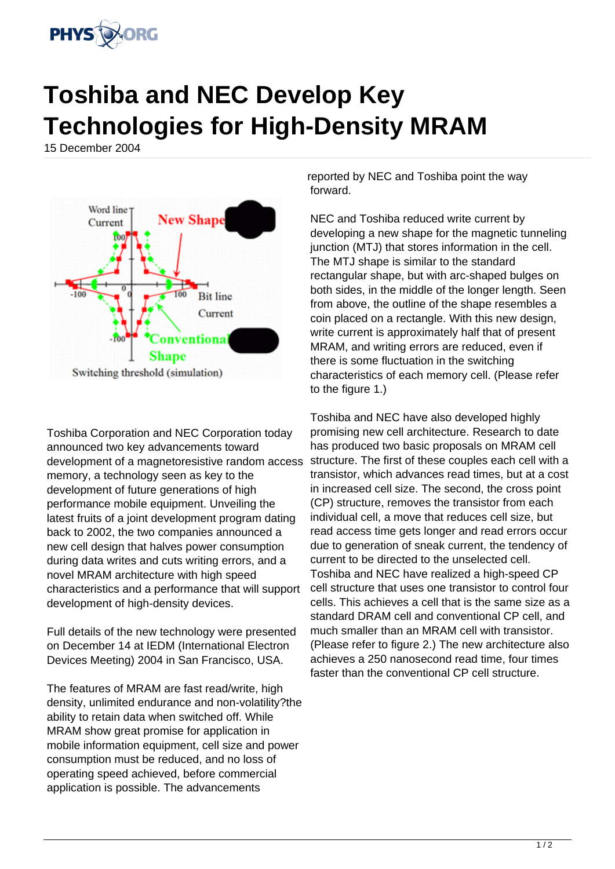

## **Toshiba and NEC Develop Key Technologies for High-Density MRAM**

15 December 2004



Toshiba Corporation and NEC Corporation today announced two key advancements toward development of a magnetoresistive random access memory, a technology seen as key to the development of future generations of high performance mobile equipment. Unveiling the latest fruits of a joint development program dating back to 2002, the two companies announced a new cell design that halves power consumption during data writes and cuts writing errors, and a novel MRAM architecture with high speed characteristics and a performance that will support development of high-density devices.

Full details of the new technology were presented on December 14 at IEDM (International Electron Devices Meeting) 2004 in San Francisco, USA.

The features of MRAM are fast read/write, high density, unlimited endurance and non-volatility?the ability to retain data when switched off. While MRAM show great promise for application in mobile information equipment, cell size and power consumption must be reduced, and no loss of operating speed achieved, before commercial application is possible. The advancements

reported by NEC and Toshiba point the way forward.

NEC and Toshiba reduced write current by developing a new shape for the magnetic tunneling junction (MTJ) that stores information in the cell. The MTJ shape is similar to the standard rectangular shape, but with arc-shaped bulges on both sides, in the middle of the longer length. Seen from above, the outline of the shape resembles a coin placed on a rectangle. With this new design, write current is approximately half that of present MRAM, and writing errors are reduced, even if there is some fluctuation in the switching characteristics of each memory cell. (Please refer to the figure 1.)

Toshiba and NEC have also developed highly promising new cell architecture. Research to date has produced two basic proposals on MRAM cell structure. The first of these couples each cell with a transistor, which advances read times, but at a cost in increased cell size. The second, the cross point (CP) structure, removes the transistor from each individual cell, a move that reduces cell size, but read access time gets longer and read errors occur due to generation of sneak current, the tendency of current to be directed to the unselected cell. Toshiba and NEC have realized a high-speed CP cell structure that uses one transistor to control four cells. This achieves a cell that is the same size as a standard DRAM cell and conventional CP cell, and much smaller than an MRAM cell with transistor. (Please refer to figure 2.) The new architecture also achieves a 250 nanosecond read time, four times faster than the conventional CP cell structure.